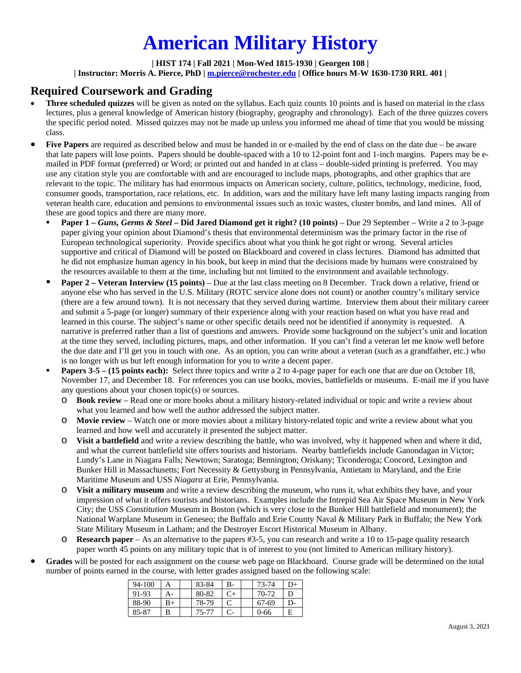# **American Military History**

#### **| HIST 174 | Fall 2021 | Mon-Wed 1815-1930 | Georgen 108 | | Instructor: Morris A. Pierce, PhD | m.pierce@rochester.edu | Office hours M-W 1630-1730 RRL 401 |**

### **Required Coursework and Grading**

- **Three scheduled quizzes** will be given as noted on the syllabus. Each quiz counts 10 points and is based on material in the class lectures, plus a general knowledge of American history (biography, geography and chronology). Each of the three quizzes covers the specific period noted. Missed quizzes may not be made up unless you informed me ahead of time that you would be missing class.
- Five Papers are required as described below and must be handed in or e-mailed by the end of class on the date due be aware that late papers will lose points. Papers should be double-spaced with a 10 to 12-point font and 1-inch margins. Papers may be emailed in PDF format (preferred) or Word; or printed out and handed in at class – double-sided printing is preferred. You may use any citation style you are comfortable with and are encouraged to include maps, photographs, and other graphics that are relevant to the topic. The military has had enormous impacts on American society, culture, politics, technology, medicine, food, consumer goods, transportation, race relations, etc. In addition, wars and the military have left many lasting impacts ranging from veteran health care, education and pensions to environmental issues such as toxic wastes, cluster bombs, and land mines. All of these are good topics and there are many more.
	- **Paper 1 –** *Guns, Germs & Steel* **– Did Jared Diamond get it right? (10 points)** Due 29 September Write a 2 to 3-page paper giving your opinion about Diamond's thesis that environmental determinism was the primary factor in the rise of European technological superiority. Provide specifics about what you think he got right or wrong. Several articles supportive and critical of Diamond will be posted on Blackboard and covered in class lectures. Diamond has admitted that he did not emphasize human agency in his book, but keep in mind that the decisions made by humans were constrained by the resources available to them at the time, including but not limited to the environment and available technology.
	- **Paper 2 – Veteran Interview (15 points)** Due at the last class meeting on 8 December. Track down a relative, friend or anyone else who has served in the U.S. Military (ROTC service alone does not count) or another country's military service (there are a few around town). It is not necessary that they served during wartime. Interview them about their military career and submit a 5-page (or longer) summary of their experience along with your reaction based on what you have read and learned in this course. The subject's name or other specific details need not be identified if anonymity is requested. A narrative is preferred rather than a list of questions and answers. Provide some background on the subject's unit and location at the time they served, including pictures, maps, and other information. If you can't find a veteran let me know well before the due date and I'll get you in touch with one. As an option, you can write about a veteran (such as a grandfather, etc.) who is no longer with us but left enough information for you to write a decent paper.
	- **Papers 3-5 – (15 points each):** Select three topics and write a 2 to 4-page paper for each one that are due on October 18, November 17, and December 18. For references you can use books, movies, battlefields or museums. E-mail me if you have any questions about your chosen topic(s) or sources.
		- o **Book review** Read one or more books about a military history-related individual or topic and write a review about what you learned and how well the author addressed the subject matter.
		- o **Movie review** Watch one or more movies about a military history-related topic and write a review about what you learned and how well and accurately it presented the subject matter.
		- o **Visit a battlefield** and write a review describing the battle, who was involved, why it happened when and where it did, and what the current battlefield site offers tourists and historians. Nearby battlefields include Ganondagan in Victor; Lundy's Lane in Niagara Falls; Newtown; Saratoga; Bennington; Oriskany; Ticonderoga; Concord, Lexington and Bunker Hill in Massachusetts; Fort Necessity & Gettysburg in Pennsylvania, Antietam in Maryland, and the Erie Maritime Museum and USS *Niagara* at Erie, Pennsylvania.
		- o **Visit a military museum** and write a review describing the museum, who runs it, what exhibits they have, and your impression of what it offers tourists and historians. Examples include the Intrepid Sea Air Space Museum in New York City; the USS *Constitution* Museum in Boston (which is very close to the Bunker Hill battlefield and monument); the National Warplane Museum in Geneseo; the Buffalo and Erie County Naval & Military Park in Buffalo; the New York State Military Museum in Latham; and the Destroyer Escort Historical Museum in Albany.
		- o **Research paper** As an alternative to the papers #3-5, you can research and write a 10 to 15-page quality research paper worth 45 points on any military topic that is of interest to you (not limited to American military history).
- **Grades** will be posted for each assignment on the course web page on Blackboard. Course grade will be determined on the total number of points earned in the course, with letter grades assigned based on the following scale:

| 94-100 |    | 83-84 | B- | 73-74    | D+ |
|--------|----|-------|----|----------|----|
| 91-93  | А- | 80-82 | C+ | 70-72    | D  |
| 88-90  | B+ | 78-79 |    | 67-69    | D- |
| 85-87  | В  | 75-77 |    | $0 - 66$ | E  |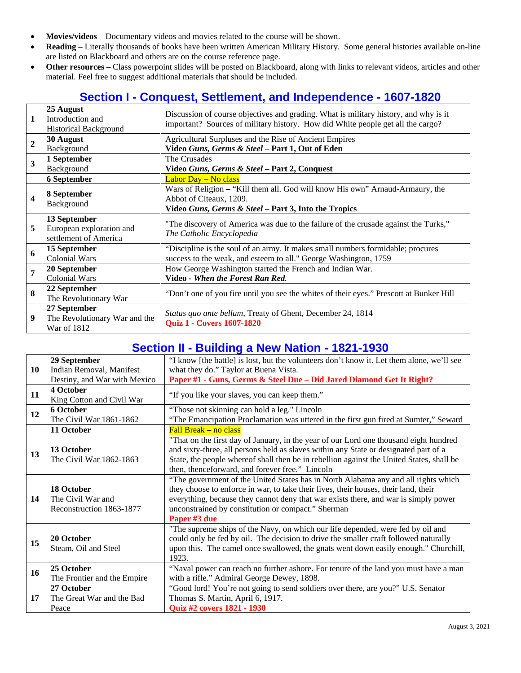- **Movies/videos** Documentary videos and movies related to the course will be shown.
- **Reading** Literally thousands of books have been written American Military History. Some general histories available on-line are listed on Blackboard and others are on the course reference page.
- **Other resources** Class powerpoint slides will be posted on Blackboard, along with links to relevant videos, articles and other material. Feel free to suggest additional materials that should be included.

## **Section I - Conquest, Settlement, and Independence - 1607-1820**

| $\mathbf{1}$            | 25 August<br>Introduction and<br><b>Historical Background</b> | Discussion of course objectives and grading. What is military history, and why is it<br>important? Sources of military history. How did White people get all the cargo? |  |
|-------------------------|---------------------------------------------------------------|-------------------------------------------------------------------------------------------------------------------------------------------------------------------------|--|
| $\overline{2}$          | 30 August                                                     | Agricultural Surpluses and the Rise of Ancient Empires                                                                                                                  |  |
|                         | Background                                                    | Video Guns, Germs & Steel - Part 1, Out of Eden                                                                                                                         |  |
| $\overline{\mathbf{3}}$ | 1 September                                                   | The Crusades                                                                                                                                                            |  |
|                         | Background                                                    | Video Guns, Germs & Steel - Part 2, Conquest                                                                                                                            |  |
|                         | 6 September                                                   | Labor Day - No class                                                                                                                                                    |  |
| $\overline{\mathbf{4}}$ | 8 September                                                   | Wars of Religion – "Kill them all. God will know His own" Arnaud-Armaury, the                                                                                           |  |
|                         | Background                                                    | Abbot of Citeaux, 1209.                                                                                                                                                 |  |
|                         |                                                               | Video Guns, Germs & Steel - Part 3, Into the Tropics                                                                                                                    |  |
|                         | 13 September                                                  | "The discovery of America was due to the failure of the crusade against the Turks,"                                                                                     |  |
| 5                       | European exploration and                                      | The Catholic Encyclopedia                                                                                                                                               |  |
|                         | settlement of America                                         |                                                                                                                                                                         |  |
| 6                       | 15 September                                                  | "Discipline is the soul of an army. It makes small numbers formidable; procures                                                                                         |  |
|                         | <b>Colonial Wars</b>                                          | success to the weak, and esteem to all." George Washington, 1759                                                                                                        |  |
| 7                       | 20 September                                                  | How George Washington started the French and Indian War.                                                                                                                |  |
|                         | <b>Colonial Wars</b>                                          | Video - When the Forest Ran Red.                                                                                                                                        |  |
| 8                       | 22 September                                                  |                                                                                                                                                                         |  |
|                         | The Revolutionary War                                         | "Don't one of you fire until you see the whites of their eyes." Prescott at Bunker Hill                                                                                 |  |
| 9                       | 27 September                                                  |                                                                                                                                                                         |  |
|                         | The Revolutionary War and the                                 | Status quo ante bellum, Treaty of Ghent, December 24, 1814                                                                                                              |  |
|                         | War of 1812                                                   | <b>Quiz 1 - Covers 1607-1820</b>                                                                                                                                        |  |

### **Section II - Building a New Nation - 1821-1930**

| 10 | 29 September                 | "I know [the battle] is lost, but the volunteers don't know it. Let them alone, we'll see |  |  |
|----|------------------------------|-------------------------------------------------------------------------------------------|--|--|
|    | Indian Removal, Manifest     | what they do." Taylor at Buena Vista.                                                     |  |  |
|    | Destiny, and War with Mexico | Paper #1 - Guns, Germs & Steel Due - Did Jared Diamond Get It Right?                      |  |  |
| 11 | 4 October                    | "If you like your slaves, you can keep them."                                             |  |  |
|    | King Cotton and Civil War    |                                                                                           |  |  |
| 12 | 6 October                    | "Those not skinning can hold a leg." Lincoln                                              |  |  |
|    | The Civil War 1861-1862      | "The Emancipation Proclamation was uttered in the first gun fired at Sumter," Seward      |  |  |
|    | 11 October                   | $Fall Break - no class$                                                                   |  |  |
| 13 |                              | "That on the first day of January, in the year of our Lord one thousand eight hundred     |  |  |
|    | 13 October                   | and sixty-three, all persons held as slaves within any State or designated part of a      |  |  |
|    | The Civil War 1862-1863      | State, the people whereof shall then be in rebellion against the United States, shall be  |  |  |
|    |                              | then, thenceforward, and forever free." Lincoln                                           |  |  |
|    |                              | "The government of the United States has in North Alabama any and all rights which        |  |  |
|    | 18 October                   | they choose to enforce in war, to take their lives, their houses, their land, their       |  |  |
| 14 | The Civil War and            | everything, because they cannot deny that war exists there, and war is simply power       |  |  |
|    | Reconstruction 1863-1877     | unconstrained by constitution or compact." Sherman                                        |  |  |
|    |                              | Paper #3 due                                                                              |  |  |
|    |                              | "The supreme ships of the Navy, on which our life depended, were fed by oil and           |  |  |
| 15 | 20 October                   | could only be fed by oil. The decision to drive the smaller craft followed naturally      |  |  |
|    | Steam, Oil and Steel         | upon this. The camel once swallowed, the gnats went down easily enough." Churchill,       |  |  |
|    |                              | 1923.                                                                                     |  |  |
| 16 | 25 October                   | "Naval power can reach no further ashore. For tenure of the land you must have a man      |  |  |
|    | The Frontier and the Empire  | with a rifle." Admiral George Dewey, 1898.                                                |  |  |
| 17 | 27 October                   | "Good lord! You're not going to send soldiers over there, are you?" U.S. Senator          |  |  |
|    | The Great War and the Bad    | Thomas S. Martin, April 6, 1917.                                                          |  |  |
|    | Peace                        | Quiz #2 covers 1821 - 1930                                                                |  |  |